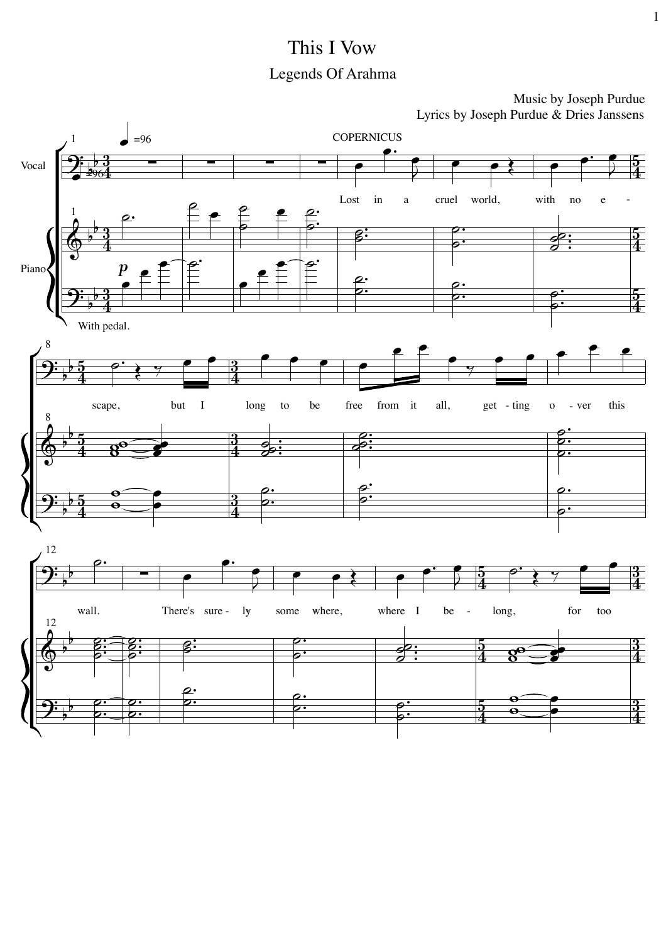## This I Vow Legends Of Arahma

Music by Joseph Purdue Lyrics by Joseph Purdue & Dries Janssens

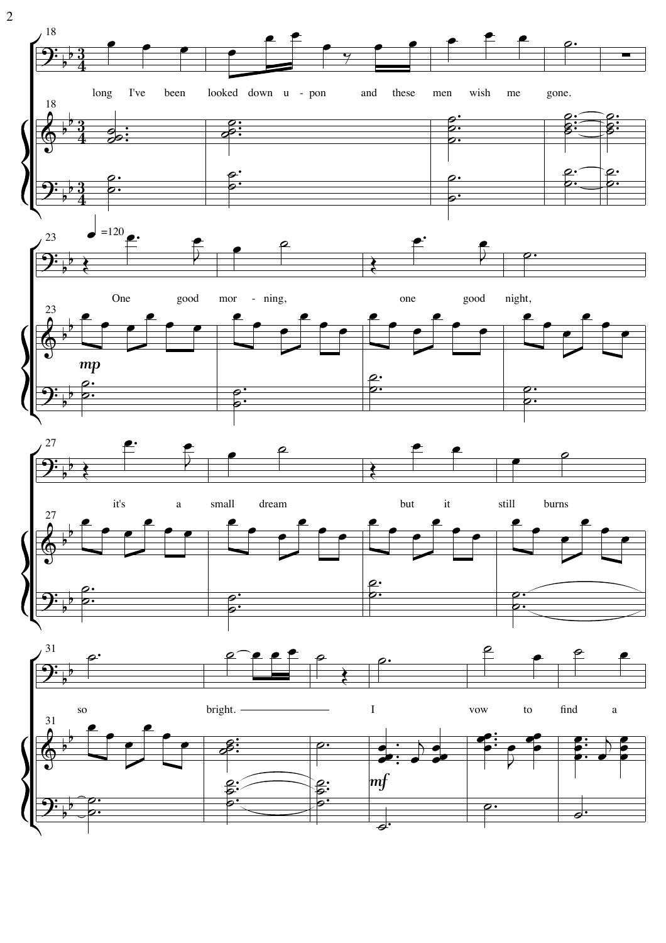

 $\overline{2}$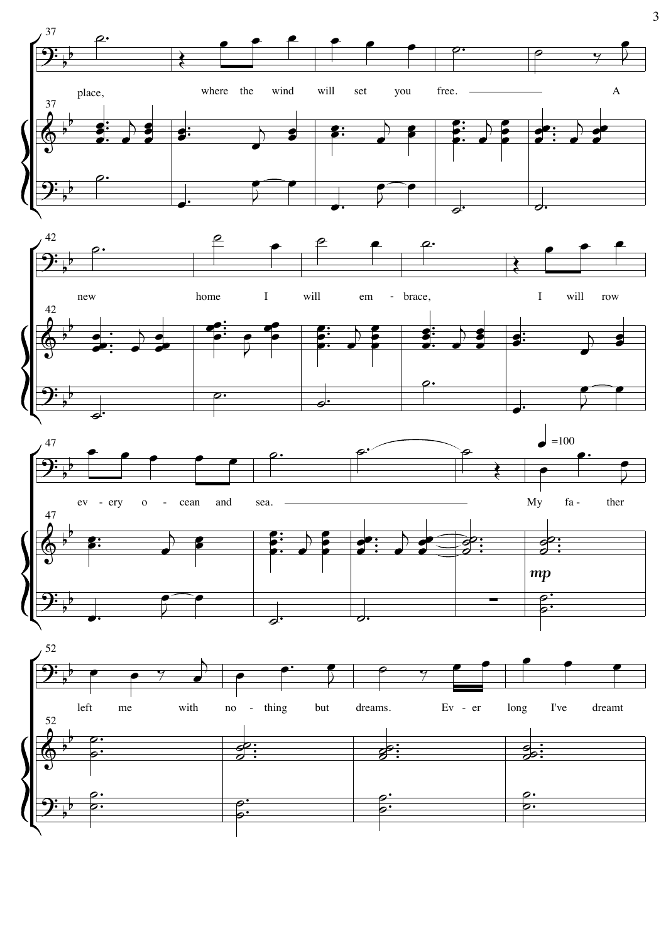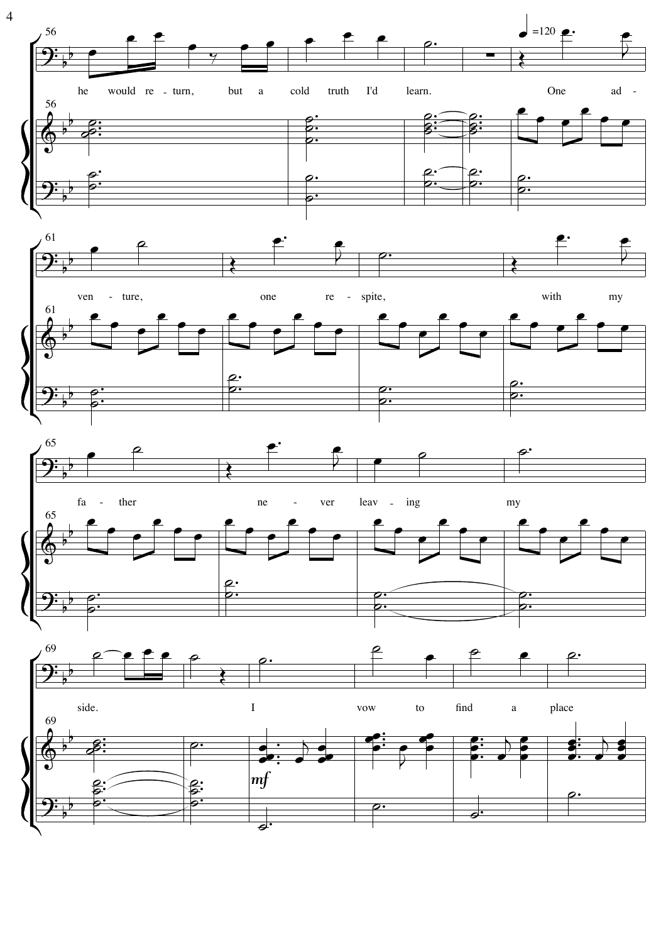

 $\overline{4}$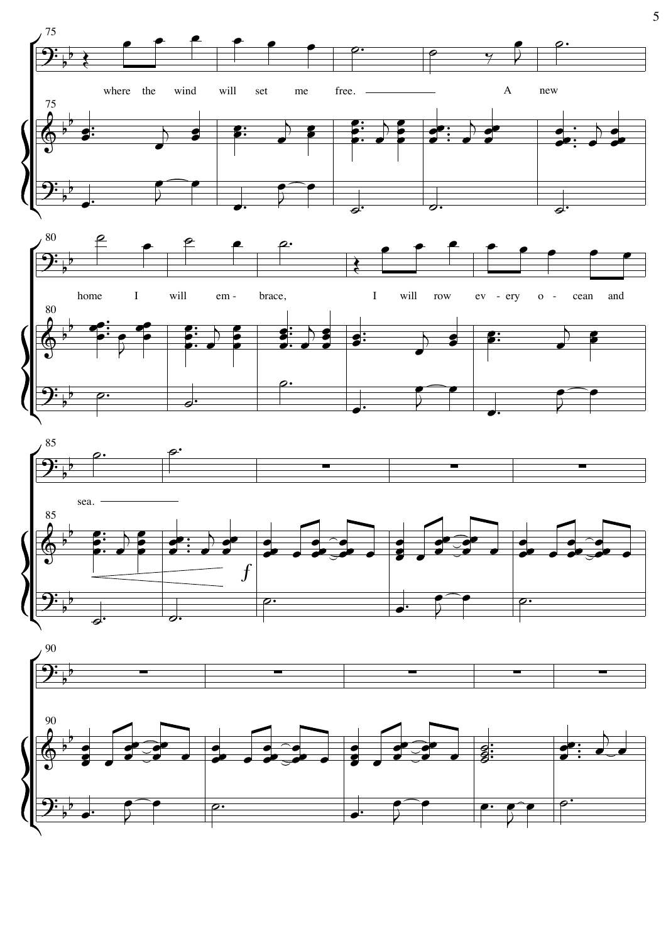

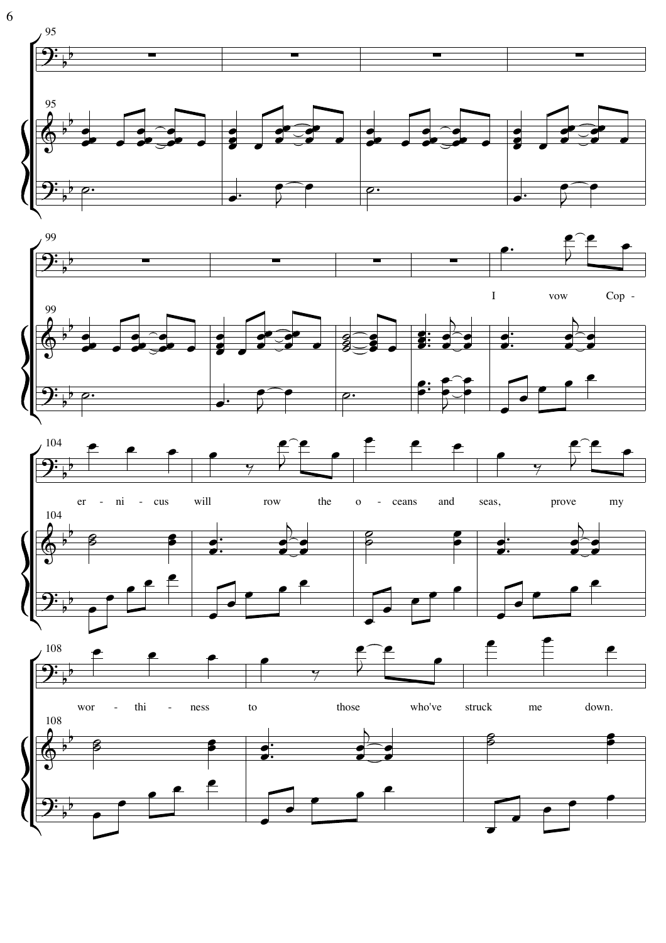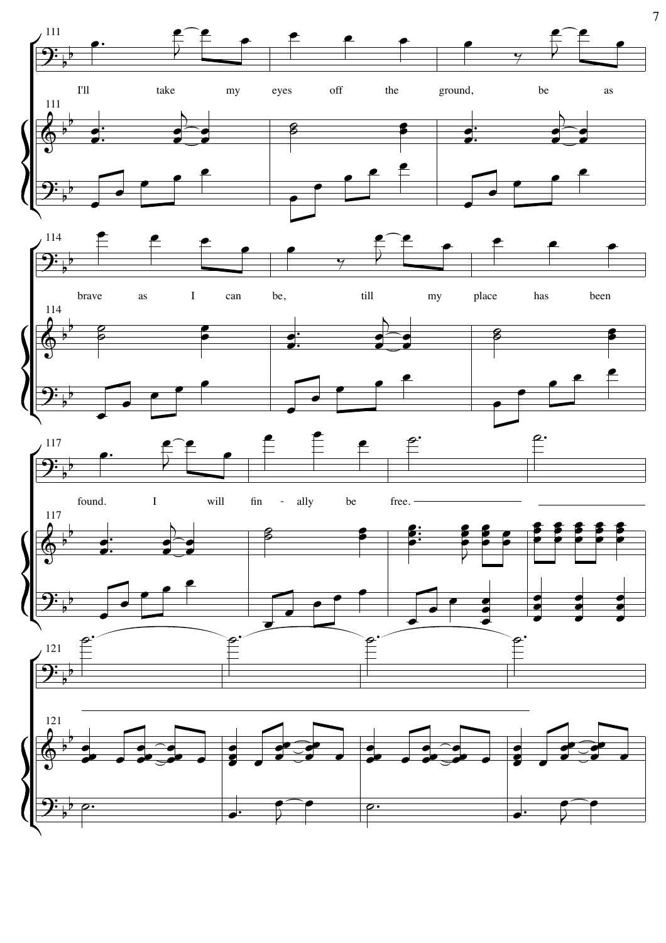

 $\overline{7}$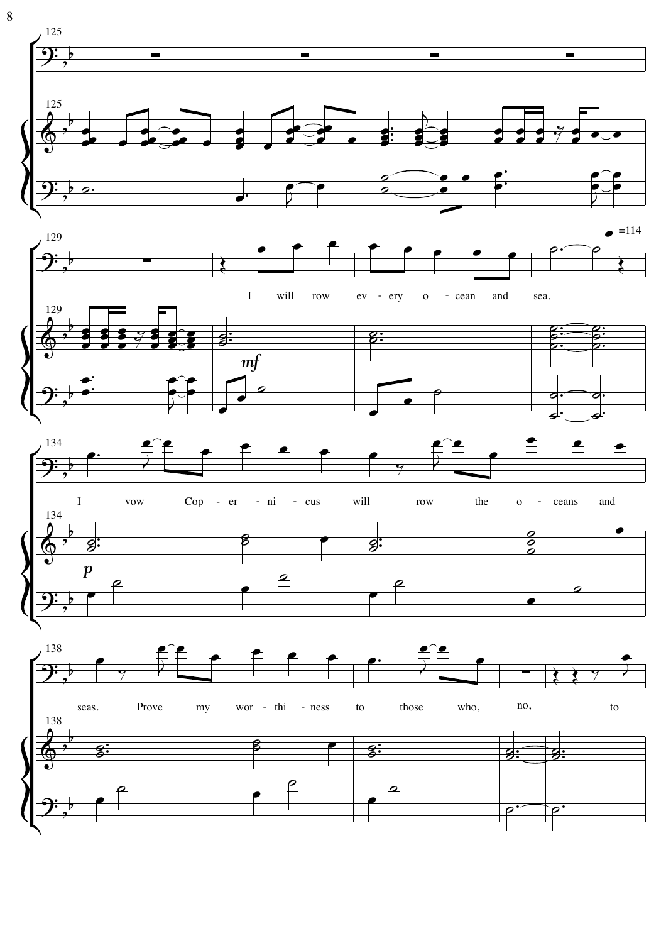

 $\, 8$